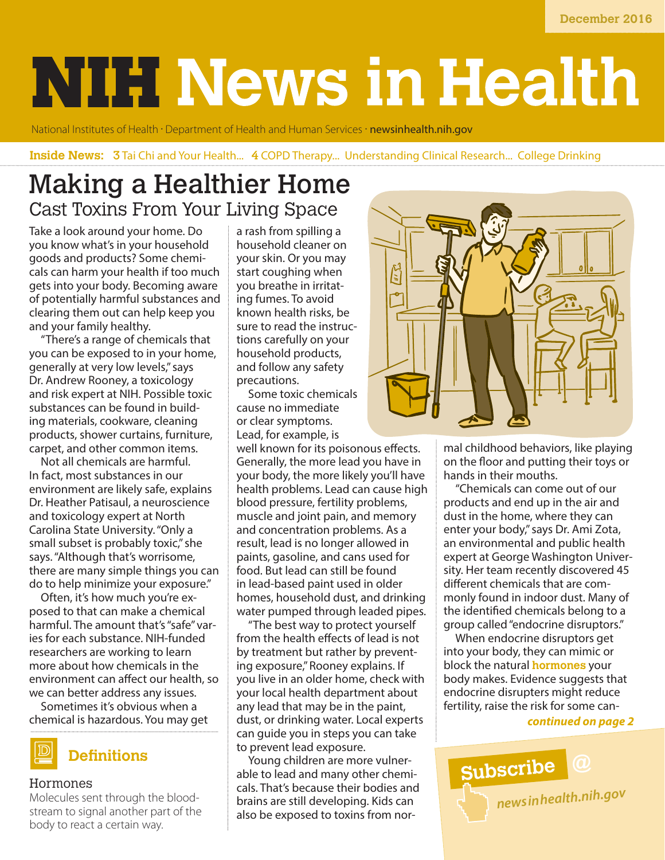# **NIFINews in Health**

National Institutes of Health · Department of Health and Human Services · [newsinhealth.nih.gov](http://newsinhealth.nih.gov)

## **Inside News: 3** Tai Chi and Your Health... 4 COPD Therapy... Understanding Clinical Research... College Drinking

## Making a Healthier Home Cast Toxins From Your Living Space

Take a look around your home. Do you know what's in your household goods and products? Some chemicals can harm your health if too much gets into your body. Becoming aware of potentially harmful substances and clearing them out can help keep you and your family healthy.

"There's a range of chemicals that you can be exposed to in your home, generally at very low levels," says Dr. Andrew Rooney, a toxicology and risk expert at NIH. Possible toxic substances can be found in building materials, cookware, cleaning products, shower curtains, furniture, carpet, and other common items.

Not all chemicals are harmful. In fact, most substances in our environment are likely safe, explains Dr. Heather Patisaul, a neuroscience and toxicology expert at North Carolina State University. "Only a small subset is probably toxic," she says. "Although that's worrisome, there are many simple things you can do to help minimize your exposure."

Often, it's how much you're exposed to that can make a chemical harmful. The amount that's "safe" varies for each substance. NIH-funded researchers are working to learn more about how chemicals in the environment can affect our health, so we can better address any issues.

Sometimes it's obvious when a chemical is hazardous. You may get



### Hormones

Molecules sent through the bloodstream to signal another part of the body to react a certain way.

a rash from spilling a household cleaner on your skin. Or you may start coughing when you breathe in irritating fumes. To avoid known health risks, be sure to read the instructions carefully on your household products, and follow any safety precautions.

Some toxic chemicals cause no immediate or clear symptoms. Lead, for example, is

well known for its poisonous effects. Generally, the more lead you have in your body, the more likely you'll have health problems. Lead can cause high blood pressure, fertility problems, muscle and joint pain, and memory and concentration problems. As a result, lead is no longer allowed in paints, gasoline, and cans used for food. But lead can still be found in lead-based paint used in older homes, household dust, and drinking water pumped through leaded pipes.

"The best way to protect yourself from the health effects of lead is not by treatment but rather by preventing exposure," Rooney explains. If you live in an older home, check with your local health department about any lead that may be in the paint, dust, or drinking water. Local experts can guide you in steps you can take to prevent lead exposure.

Young children are more vulnerable to lead and many other chemicals. That's because their bodies and brains are still developing. Kids can also be exposed to toxins from nor-



mal childhood behaviors, like playing on the floor and putting their toys or hands in their mouths.

"Chemicals can come out of our products and end up in the air and dust in the home, where they can enter your body," says Dr. Ami Zota, an environmental and public health expert at George Washington University. Her team recently discovered 45 different chemicals that are commonly found in indoor dust. Many of the identified chemicals belong to a group called "endocrine disruptors."

When endocrine disruptors get into your body, they can mimic or block the natural **hormones** your body makes. Evidence suggests that endocrine disrupters might reduce fertility, raise the risk for some can-

*continued on page 2*

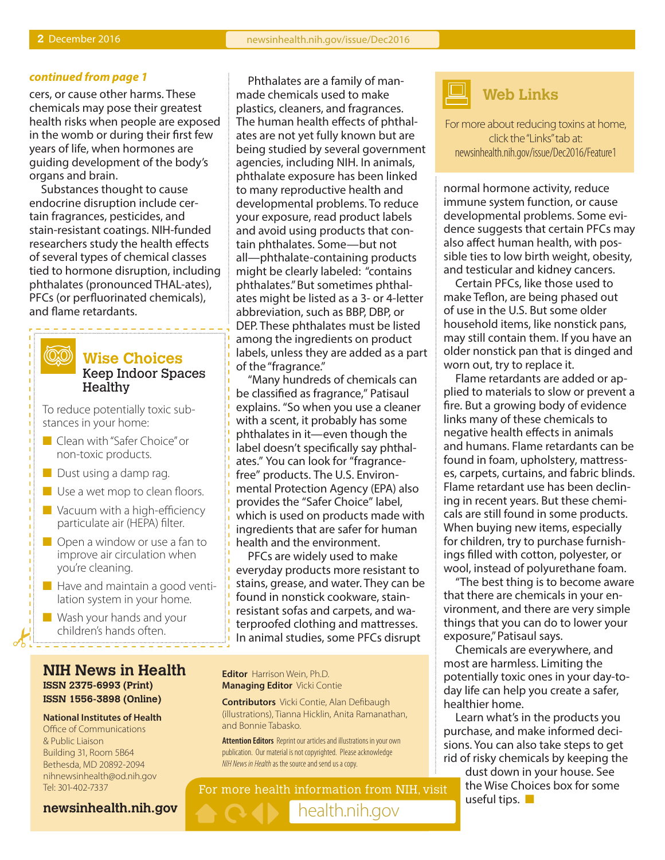#### *continued from page 1*

cers, or cause other harms. These chemicals may pose their greatest health risks when people are exposed in the womb or during their first few years of life, when hormones are guiding development of the body's organs and brain.

Substances thought to cause endocrine disruption include certain fragrances, pesticides, and stain-resistant coatings. NIH-funded researchers study the health effects of several types of chemical classes tied to hormone disruption, including phthalates (pronounced THAL-ates), PFCs (or perfluorinated chemicals), and flame retardants.

## **Wise Choices** Keep Indoor Spaces Healthy

To reduce potentially toxic substances in your home:

- Clean with "Safer Choice" or non-toxic products.
- $\Box$  Dust using a damp rag.
- $\blacksquare$  Use a wet mop to clean floors.
- $\blacksquare$  Vacuum with a high-efficiency particulate air (HEPA) filter.
- $\Box$  Open a window or use a fan to improve air circulation when you're cleaning.
- $\blacksquare$  Have and maintain a good ventilation system in your home.
- $\blacksquare$  Wash your hands and your children's hands often.

### **NIH News in Health ISSN 2375-6993 (Print) ISSN 1556-3898 (Online)**

**National Institutes of Health** Office of Communications & Public Liaison Building 31, Room 5B64 Bethesda, MD 20892-2094 nihnewsinhealth@od.nih.gov Tel: 301-402-7337

Phthalates are a family of manmade chemicals used to make plastics, cleaners, and fragrances. The human health effects of phthalates are not yet fully known but are being studied by several government agencies, including NIH. In animals, phthalate exposure has been linked to many reproductive health and developmental problems. To reduce your exposure, read product labels and avoid using products that contain phthalates. Some—but not all—phthalate-containing products might be clearly labeled: "contains phthalates." But sometimes phthalates might be listed as a 3- or 4-letter abbreviation, such as BBP, DBP, or DEP. These phthalates must be listed among the ingredients on product labels, unless they are added as a part of the "fragrance."

"Many hundreds of chemicals can be classified as fragrance," Patisaul explains. "So when you use a cleaner with a scent, it probably has some phthalates in it—even though the label doesn't specifically say phthalates." You can look for "fragrancefree" products. The U.S. Environmental Protection Agency (EPA) also provides the "Safer Choice" label, which is used on products made with ingredients that are safer for human health and the environment.

PFCs are widely used to make everyday products more resistant to stains, grease, and water. They can be found in nonstick cookware, stainresistant sofas and carpets, and waterproofed clothing and mattresses. In animal studies, some PFCs disrupt

#### **Editor** Harrison Wein, Ph.D. **Managing Editor** Vicki Contie

**Contributors** Vicki Contie, Alan Defibaugh (illustrations), Tianna Hicklin, Anita Ramanathan, and Bonnie Tabasko.

**Attention Editors** Reprint our articles and illustrations in your own publication. Our material is not copyrighted. Please acknowledge *NIH News in Health* as the source and send us a copy.

For more health information from NIH, visit

[health.nih.gov](https://health.nih.gov)



For more about reducing toxins at home, click the "Links" tab at: [newsinhealth.nih.gov/issue/Dec2016/Feature1](https://newsinhealth.nih.gov/issue/Dec2016/Feature1)

normal hormone activity, reduce immune system function, or cause developmental problems. Some evidence suggests that certain PFCs may also affect human health, with possible ties to low birth weight, obesity, and testicular and kidney cancers.

Certain PFCs, like those used to make Teflon, are being phased out of use in the U.S. But some older household items, like nonstick pans, may still contain them. If you have an older nonstick pan that is dinged and worn out, try to replace it.

Flame retardants are added or applied to materials to slow or prevent a fire. But a growing body of evidence links many of these chemicals to negative health effects in animals and humans. Flame retardants can be found in foam, upholstery, mattresses, carpets, curtains, and fabric blinds. Flame retardant use has been declining in recent years. But these chemicals are still found in some products. When buying new items, especially for children, try to purchase furnishings filled with cotton, polyester, or wool, instead of polyurethane foam.

"The best thing is to become aware that there are chemicals in your environment, and there are very simple things that you can do to lower your exposure," Patisaul says.

Chemicals are everywhere, and most are harmless. Limiting the potentially toxic ones in your day-today life can help you create a safer, healthier home.

Learn what's in the products you purchase, and make informed decisions. You can also take steps to get rid of risky chemicals by keeping the

dust down in your house. See the Wise Choices box for some useful tips.  $\blacksquare$ 

**[newsinhealth.nih.gov](https://newsinhealth.nih.gov)**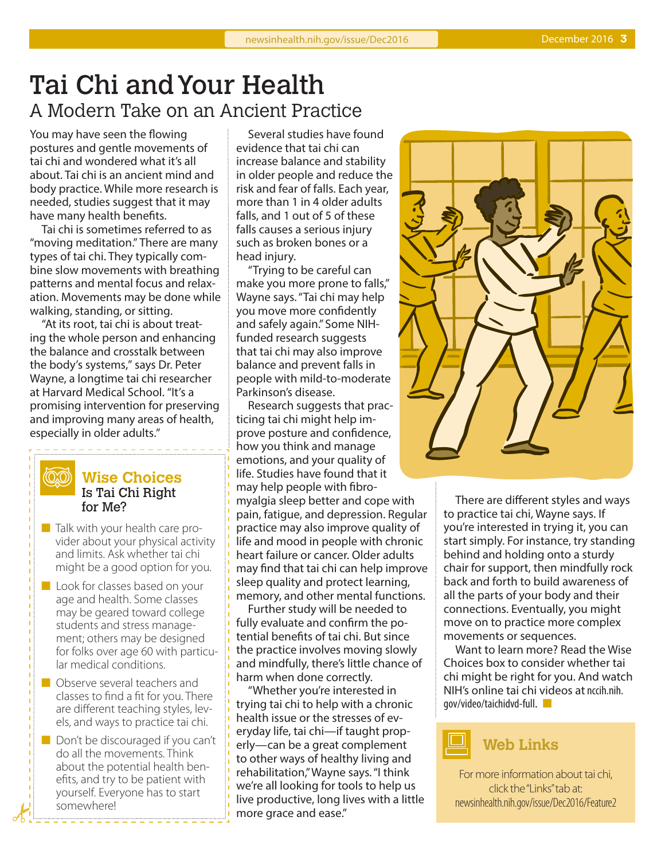## Tai Chi and Your Health A Modern Take on an Ancient Practice

You may have seen the flowing postures and gentle movements of tai chi and wondered what it's all about. Tai chi is an ancient mind and body practice. While more research is needed, studies suggest that it may have many health benefits.

Tai chi is sometimes referred to as "moving meditation." There are many types of tai chi. They typically combine slow movements with breathing patterns and mental focus and relaxation. Movements may be done while walking, standing, or sitting.

"At its root, tai chi is about treating the whole person and enhancing the balance and crosstalk between the body's systems," says Dr. Peter Wayne, a longtime tai chi researcher at Harvard Medical School. "It's a promising intervention for preserving and improving many areas of health, especially in older adults."

## **Wise Choices** Is Tai Chi Right for Me?

(QQ)

- $\blacksquare$  Talk with your health care provider about your physical activity and limits. Ask whether tai chi might be a good option for you.
- $\blacksquare$  Look for classes based on your age and health. Some classes may be geared toward college students and stress management; others may be designed for folks over age 60 with particular medical conditions.
- $\Box$  Observe several teachers and classes to find a fit for you. There are different teaching styles, levels, and ways to practice tai chi.
- $\Box$  Don't be discouraged if you can't do all the movements. Think about the potential health benefits, and try to be patient with yourself. Everyone has to start somewhere!

<u> - - - - - - - - - - - - - </u>

Several studies have found evidence that tai chi can increase balance and stability in older people and reduce the risk and fear of falls. Each year, more than 1 in 4 older adults falls, and 1 out of 5 of these falls causes a serious injury such as broken bones or a head injury.

"Trying to be careful can make you more prone to falls," Wayne says. "Tai chi may help you move more confidently and safely again." Some NIHfunded research suggests that tai chi may also improve balance and prevent falls in people with mild-to-moderate Parkinson's disease.

Research suggests that practicing tai chi might help improve posture and confidence, how you think and manage emotions, and your quality of life. Studies have found that it may help people with fibromyalgia sleep better and cope with pain, fatigue, and depression. Regular practice may also improve quality of life and mood in people with chronic heart failure or cancer. Older adults may find that tai chi can help improve sleep quality and protect learning, memory, and other mental functions.

Further study will be needed to fully evaluate and confirm the potential benefits of tai chi. But since the practice involves moving slowly and mindfully, there's little chance of harm when done correctly.

"Whether you're interested in trying tai chi to help with a chronic health issue or the stresses of everyday life, tai chi—if taught properly—can be a great complement to other ways of healthy living and rehabilitation," Wayne says. "I think we're all looking for tools to help us live productive, long lives with a little more grace and ease."



There are different styles and ways to practice tai chi, Wayne says. If you're interested in trying it, you can start simply. For instance, try standing behind and holding onto a sturdy chair for support, then mindfully rock back and forth to build awareness of all the parts of your body and their connections. Eventually, you might move on to practice more complex movements or sequences.

Want to learn more? Read the Wise Choices box to consider whether tai chi might be right for you. And watch NIH's online tai chi videos at [nccih.nih.](https://nccih.nih.gov/video/taichidvd-full) [gov/video/taichidvd-full](https://nccih.nih.gov/video/taichidvd-full).



For more information about tai chi, click the "Links" tab at: [newsinhealth.nih.gov/issue/Dec2016/Feature2](https://newsinhealth.nih.gov/issue/Dec2016/Feature2)